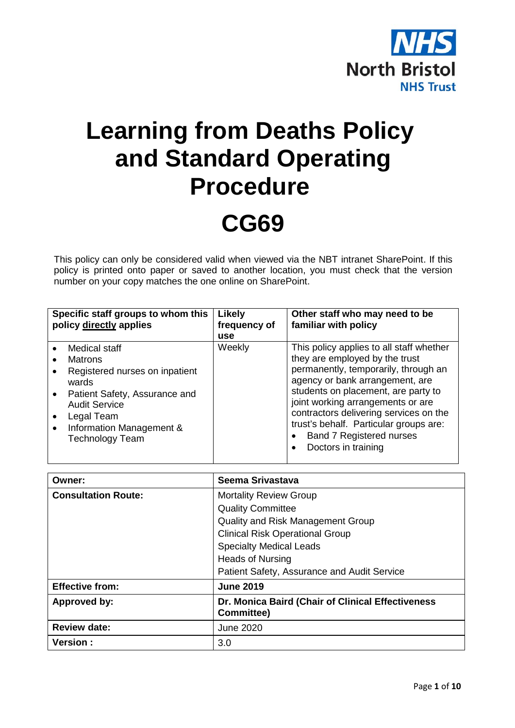

# **Learning from Deaths Policy and Standard Operating Procedure CG69**

This policy can only be considered valid when viewed via the NBT intranet SharePoint. If this policy is printed onto paper or saved to another location, you must check that the version number on your copy matches the one online on SharePoint.

| Specific staff groups to whom this<br>policy directly applies |                                                                                                                                                                               | Likely<br>frequency of<br>use | Other staff who may need to be<br>familiar with policy                                                                                                                                                                                                                                                                |
|---------------------------------------------------------------|-------------------------------------------------------------------------------------------------------------------------------------------------------------------------------|-------------------------------|-----------------------------------------------------------------------------------------------------------------------------------------------------------------------------------------------------------------------------------------------------------------------------------------------------------------------|
|                                                               | Medical staff<br><b>Matrons</b><br>Registered nurses on inpatient<br>wards<br>Patient Safety, Assurance and<br><b>Audit Service</b><br>Legal Team<br>Information Management & | Weekly                        | This policy applies to all staff whether<br>they are employed by the trust<br>permanently, temporarily, through an<br>agency or bank arrangement, are<br>students on placement, are party to<br>joint working arrangements or are<br>contractors delivering services on the<br>trust's behalf. Particular groups are: |
|                                                               | <b>Technology Team</b>                                                                                                                                                        |                               | <b>Band 7 Registered nurses</b><br>Doctors in training                                                                                                                                                                                                                                                                |

| Owner:                     | Seema Srivastava                                                       |  |
|----------------------------|------------------------------------------------------------------------|--|
| <b>Consultation Route:</b> | <b>Mortality Review Group</b>                                          |  |
|                            | <b>Quality Committee</b>                                               |  |
|                            | Quality and Risk Management Group                                      |  |
|                            | <b>Clinical Risk Operational Group</b>                                 |  |
|                            | <b>Specialty Medical Leads</b>                                         |  |
|                            | <b>Heads of Nursing</b>                                                |  |
|                            | Patient Safety, Assurance and Audit Service                            |  |
| <b>Effective from:</b>     | <b>June 2019</b>                                                       |  |
| Approved by:               | Dr. Monica Baird (Chair of Clinical Effectiveness<br><b>Committee)</b> |  |
| <b>Review date:</b>        | June 2020                                                              |  |
| <b>Version:</b>            | 3.0                                                                    |  |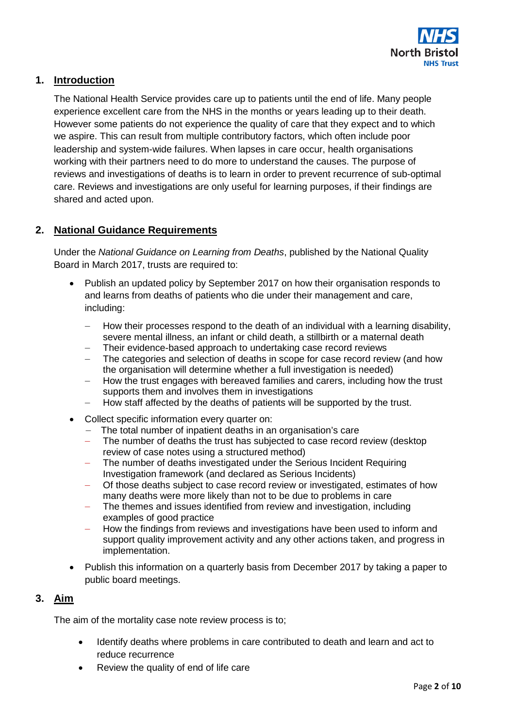

# **1. Introduction**

The National Health Service provides care up to patients until the end of life. Many people experience excellent care from the NHS in the months or years leading up to their death. However some patients do not experience the quality of care that they expect and to which we aspire. This can result from multiple contributory factors, which often include poor leadership and system-wide failures. When lapses in care occur, health organisations working with their partners need to do more to understand the causes. The purpose of reviews and investigations of deaths is to learn in order to prevent recurrence of sub-optimal care. Reviews and investigations are only useful for learning purposes, if their findings are shared and acted upon.

## **2. National Guidance Requirements**

Under the *National Guidance on Learning from Deaths*, published by the National Quality Board in March 2017, trusts are required to:

- Publish an updated policy by September 2017 on how their organisation responds to and learns from deaths of patients who die under their management and care, including:
	- How their processes respond to the death of an individual with a learning disability, severe mental illness, an infant or child death, a stillbirth or a maternal death
	- Their evidence-based approach to undertaking case record reviews
	- The categories and selection of deaths in scope for case record review (and how the organisation will determine whether a full investigation is needed)
	- ― How the trust engages with bereaved families and carers, including how the trust supports them and involves them in investigations
	- How staff affected by the deaths of patients will be supported by the trust.
- Collect specific information every quarter on:
	- ― The total number of inpatient deaths in an organisation's care
	- The number of deaths the trust has subjected to case record review (desktop) review of case notes using a structured method)
	- The number of deaths investigated under the Serious Incident Requiring Investigation framework (and declared as Serious Incidents)
	- ― Of those deaths subject to case record review or investigated, estimates of how many deaths were more likely than not to be due to problems in care
	- ― The themes and issues identified from review and investigation, including examples of good practice
	- How the findings from reviews and investigations have been used to inform and support quality improvement activity and any other actions taken, and progress in implementation.
- Publish this information on a quarterly basis from December 2017 by taking a paper to public board meetings.

#### **3. Aim**

The aim of the mortality case note review process is to;

- Identify deaths where problems in care contributed to death and learn and act to reduce recurrence
- Review the quality of end of life care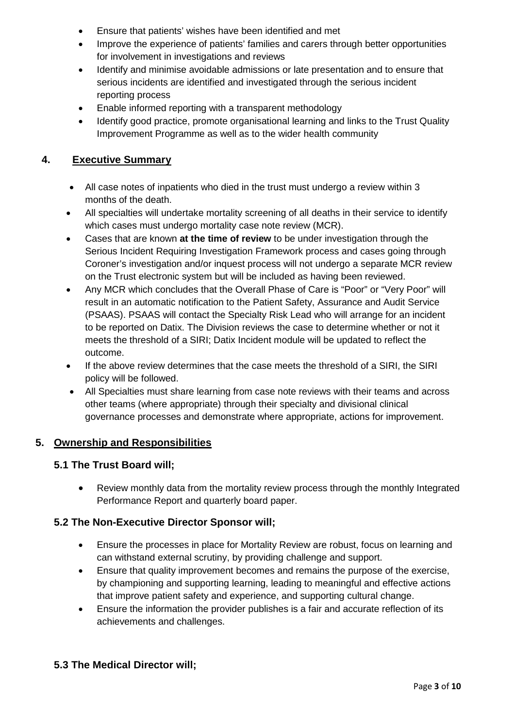- Ensure that patients' wishes have been identified and met
- Improve the experience of patients' families and carers through better opportunities for involvement in investigations and reviews
- Identify and minimise avoidable admissions or late presentation and to ensure that serious incidents are identified and investigated through the serious incident reporting process
- Enable informed reporting with a transparent methodology
- Identify good practice, promote organisational learning and links to the Trust Quality Improvement Programme as well as to the wider health community

# **4. Executive Summary**

- All case notes of inpatients who died in the trust must undergo a review within 3 months of the death.
- All specialties will undertake mortality screening of all deaths in their service to identify which cases must undergo mortality case note review (MCR).
- Cases that are known **at the time of review** to be under investigation through the Serious Incident Requiring Investigation Framework process and cases going through Coroner's investigation and/or inquest process will not undergo a separate MCR review on the Trust electronic system but will be included as having been reviewed.
- Any MCR which concludes that the Overall Phase of Care is "Poor" or "Very Poor" will result in an automatic notification to the Patient Safety, Assurance and Audit Service (PSAAS). PSAAS will contact the Specialty Risk Lead who will arrange for an incident to be reported on Datix. The Division reviews the case to determine whether or not it meets the threshold of a SIRI; Datix Incident module will be updated to reflect the outcome.
- If the above review determines that the case meets the threshold of a SIRI, the SIRI policy will be followed.
- All Specialties must share learning from case note reviews with their teams and across other teams (where appropriate) through their specialty and divisional clinical governance processes and demonstrate where appropriate, actions for improvement.

## **5. Ownership and Responsibilities**

## **5.1 The Trust Board will;**

• Review monthly data from the mortality review process through the monthly Integrated Performance Report and quarterly board paper.

## **5.2 The Non-Executive Director Sponsor will;**

- Ensure the processes in place for Mortality Review are robust, focus on learning and can withstand external scrutiny, by providing challenge and support.
- Ensure that quality improvement becomes and remains the purpose of the exercise, by championing and supporting learning, leading to meaningful and effective actions that improve patient safety and experience, and supporting cultural change.
- Ensure the information the provider publishes is a fair and accurate reflection of its achievements and challenges.

## **5.3 The Medical Director will;**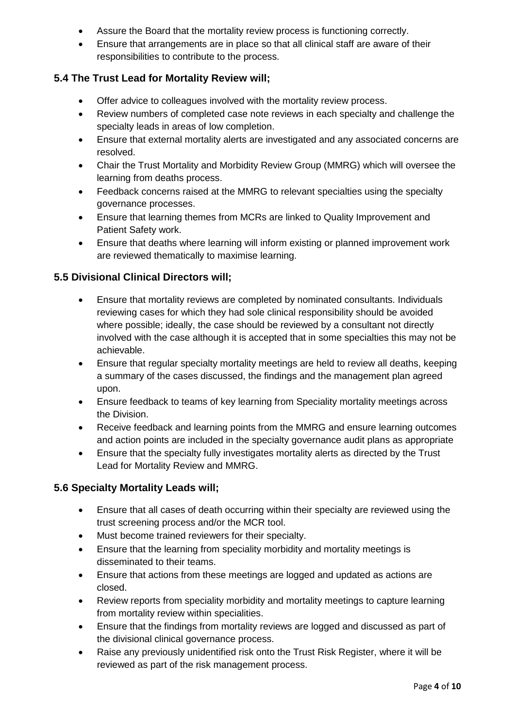- Assure the Board that the mortality review process is functioning correctly.
- Ensure that arrangements are in place so that all clinical staff are aware of their responsibilities to contribute to the process.

# **5.4 The Trust Lead for Mortality Review will;**

- Offer advice to colleagues involved with the mortality review process.
- Review numbers of completed case note reviews in each specialty and challenge the specialty leads in areas of low completion.
- Ensure that external mortality alerts are investigated and any associated concerns are resolved.
- Chair the Trust Mortality and Morbidity Review Group (MMRG) which will oversee the learning from deaths process.
- Feedback concerns raised at the MMRG to relevant specialties using the specialty governance processes.
- Ensure that learning themes from MCRs are linked to Quality Improvement and Patient Safety work.
- Ensure that deaths where learning will inform existing or planned improvement work are reviewed thematically to maximise learning.

# **5.5 Divisional Clinical Directors will;**

- Ensure that mortality reviews are completed by nominated consultants. Individuals reviewing cases for which they had sole clinical responsibility should be avoided where possible; ideally, the case should be reviewed by a consultant not directly involved with the case although it is accepted that in some specialties this may not be achievable.
- Ensure that regular specialty mortality meetings are held to review all deaths, keeping a summary of the cases discussed, the findings and the management plan agreed upon.
- Ensure feedback to teams of key learning from Speciality mortality meetings across the Division.
- Receive feedback and learning points from the MMRG and ensure learning outcomes and action points are included in the specialty governance audit plans as appropriate
- Ensure that the specialty fully investigates mortality alerts as directed by the Trust Lead for Mortality Review and MMRG.

# **5.6 Specialty Mortality Leads will;**

- Ensure that all cases of death occurring within their specialty are reviewed using the trust screening process and/or the MCR tool.
- Must become trained reviewers for their specialty.
- Ensure that the learning from speciality morbidity and mortality meetings is disseminated to their teams.
- Ensure that actions from these meetings are logged and updated as actions are closed.
- Review reports from speciality morbidity and mortality meetings to capture learning from mortality review within specialities.
- Ensure that the findings from mortality reviews are logged and discussed as part of the divisional clinical governance process.
- Raise any previously unidentified risk onto the Trust Risk Register, where it will be reviewed as part of the risk management process.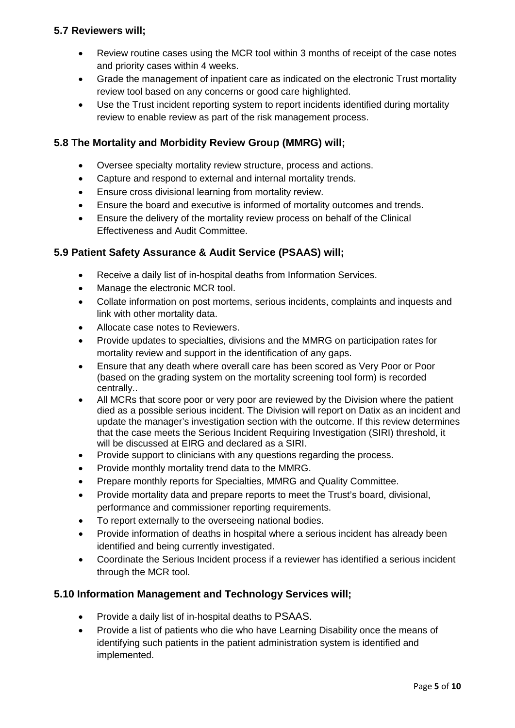# **5.7 Reviewers will;**

- Review routine cases using the MCR tool within 3 months of receipt of the case notes and priority cases within 4 weeks.
- Grade the management of inpatient care as indicated on the electronic Trust mortality review tool based on any concerns or good care highlighted.
- Use the Trust incident reporting system to report incidents identified during mortality review to enable review as part of the risk management process.

# **5.8 The Mortality and Morbidity Review Group (MMRG) will;**

- Oversee specialty mortality review structure, process and actions.
- Capture and respond to external and internal mortality trends.
- Ensure cross divisional learning from mortality review.
- Ensure the board and executive is informed of mortality outcomes and trends.
- Ensure the delivery of the mortality review process on behalf of the Clinical Effectiveness and Audit Committee.

# **5.9 Patient Safety Assurance & Audit Service (PSAAS) will;**

- Receive a daily list of in-hospital deaths from Information Services.
- Manage the electronic MCR tool.
- Collate information on post mortems, serious incidents, complaints and inquests and link with other mortality data.
- Allocate case notes to Reviewers.
- Provide updates to specialties, divisions and the MMRG on participation rates for mortality review and support in the identification of any gaps.
- Ensure that any death where overall care has been scored as Very Poor or Poor (based on the grading system on the mortality screening tool form) is recorded centrally..
- All MCRs that score poor or very poor are reviewed by the Division where the patient died as a possible serious incident. The Division will report on Datix as an incident and update the manager's investigation section with the outcome. If this review determines that the case meets the Serious Incident Requiring Investigation (SIRI) threshold, it will be discussed at EIRG and declared as a SIRI.
- Provide support to clinicians with any questions regarding the process.
- Provide monthly mortality trend data to the MMRG.
- Prepare monthly reports for Specialties, MMRG and Quality Committee.
- Provide mortality data and prepare reports to meet the Trust's board, divisional, performance and commissioner reporting requirements.
- To report externally to the overseeing national bodies.
- Provide information of deaths in hospital where a serious incident has already been identified and being currently investigated.
- Coordinate the Serious Incident process if a reviewer has identified a serious incident through the MCR tool.

# **5.10 Information Management and Technology Services will;**

- Provide a daily list of in-hospital deaths to PSAAS.
- Provide a list of patients who die who have Learning Disability once the means of identifying such patients in the patient administration system is identified and implemented.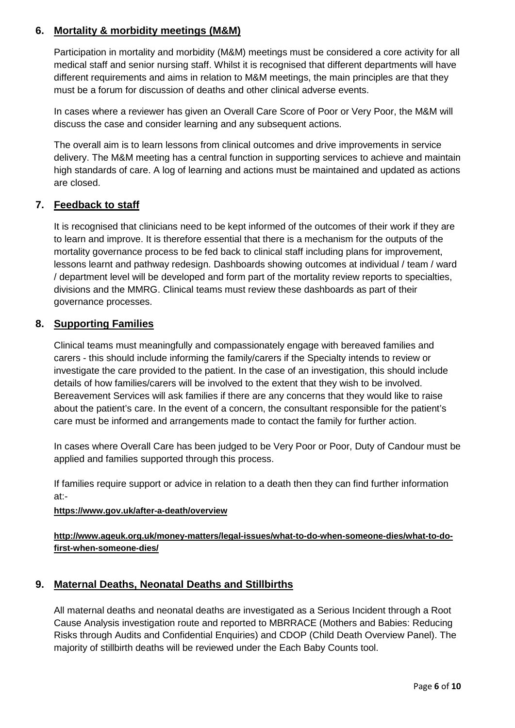# **6. Mortality & morbidity meetings (M&M)**

Participation in mortality and morbidity (M&M) meetings must be considered a core activity for all medical staff and senior nursing staff. Whilst it is recognised that different departments will have different requirements and aims in relation to M&M meetings, the main principles are that they must be a forum for discussion of deaths and other clinical adverse events.

In cases where a reviewer has given an Overall Care Score of Poor or Very Poor, the M&M will discuss the case and consider learning and any subsequent actions.

The overall aim is to learn lessons from clinical outcomes and drive improvements in service delivery. The M&M meeting has a central function in supporting services to achieve and maintain high standards of care. A log of learning and actions must be maintained and updated as actions are closed.

# **7. Feedback to staff**

It is recognised that clinicians need to be kept informed of the outcomes of their work if they are to learn and improve. It is therefore essential that there is a mechanism for the outputs of the mortality governance process to be fed back to clinical staff including plans for improvement, lessons learnt and pathway redesign. Dashboards showing outcomes at individual / team / ward / department level will be developed and form part of the mortality review reports to specialties, divisions and the MMRG. Clinical teams must review these dashboards as part of their governance processes.

## **8. Supporting Families**

Clinical teams must meaningfully and compassionately engage with bereaved families and carers - this should include informing the family/carers if the Specialty intends to review or investigate the care provided to the patient. In the case of an investigation, this should include details of how families/carers will be involved to the extent that they wish to be involved. Bereavement Services will ask families if there are any concerns that they would like to raise about the patient's care. In the event of a concern, the consultant responsible for the patient's care must be informed and arrangements made to contact the family for further action.

In cases where Overall Care has been judged to be Very Poor or Poor, Duty of Candour must be applied and families supported through this process.

If families require support or advice in relation to a death then they can find further information at:-

#### **<https://www.gov.uk/after-a-death/overview>**

**[http://www.ageuk.org.uk/money-matters/legal-issues/what-to-do-when-someone-dies/what-to-do](http://www.ageuk.org.uk/money-matters/legal-issues/what-to-do-when-someone-dies/what-to-do-first-when-someone-dies/)[first-when-someone-dies/](http://www.ageuk.org.uk/money-matters/legal-issues/what-to-do-when-someone-dies/what-to-do-first-when-someone-dies/)**

## **9. Maternal Deaths, Neonatal Deaths and Stillbirths**

All maternal deaths and neonatal deaths are investigated as a Serious Incident through a Root Cause Analysis investigation route and reported to MBRRACE (Mothers and Babies: Reducing Risks through Audits and Confidential Enquiries) and CDOP (Child Death Overview Panel). The majority of stillbirth deaths will be reviewed under the Each Baby Counts tool.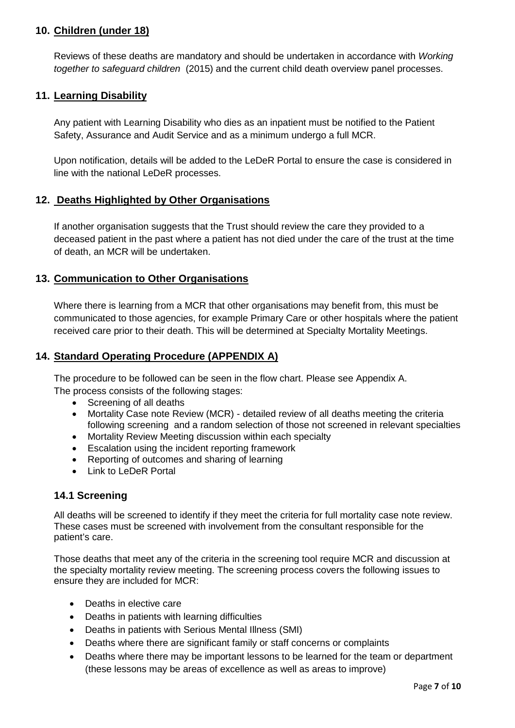# **10. Children (under 18)**

Reviews of these deaths are mandatory and should be undertaken in accordance with *[Working](https://www.gov.uk/government/publications/working-together-to-safeguard-children--2)  [together to safeguard children](https://www.gov.uk/government/publications/working-together-to-safeguard-children--2)* (2015) and the current child death overview panel processes.

### **11. Learning Disability**

Any patient with Learning Disability who dies as an inpatient must be notified to the Patient Safety, Assurance and Audit Service and as a minimum undergo a full MCR.

Upon notification, details will be added to the LeDeR Portal to ensure the case is considered in line with the national LeDeR processes.

#### **12. Deaths Highlighted by Other Organisations**

If another organisation suggests that the Trust should review the care they provided to a deceased patient in the past where a patient has not died under the care of the trust at the time of death, an MCR will be undertaken.

#### **13. Communication to Other Organisations**

Where there is learning from a MCR that other organisations may benefit from, this must be communicated to those agencies, for example Primary Care or other hospitals where the patient received care prior to their death. This will be determined at Specialty Mortality Meetings.

#### **14. Standard Operating Procedure (APPENDIX A)**

The procedure to be followed can be seen in the flow chart. Please see Appendix A. The process consists of the following stages:

- Screening of all deaths
- Mortality Case note Review (MCR) detailed review of all deaths meeting the criteria following screening and a random selection of those not screened in relevant specialties
- Mortality Review Meeting discussion within each specialty
- Escalation using the incident reporting framework
- Reporting of outcomes and sharing of learning
- Link to LeDeR Portal

## **14.1 Screening**

All deaths will be screened to identify if they meet the criteria for full mortality case note review. These cases must be screened with involvement from the consultant responsible for the patient's care.

Those deaths that meet any of the criteria in the screening tool require MCR and discussion at the specialty mortality review meeting. The screening process covers the following issues to ensure they are included for MCR:

- Deaths in elective care
- Deaths in patients with learning difficulties
- Deaths in patients with Serious Mental Illness (SMI)
- Deaths where there are significant family or staff concerns or complaints
- Deaths where there may be important lessons to be learned for the team or department (these lessons may be areas of excellence as well as areas to improve)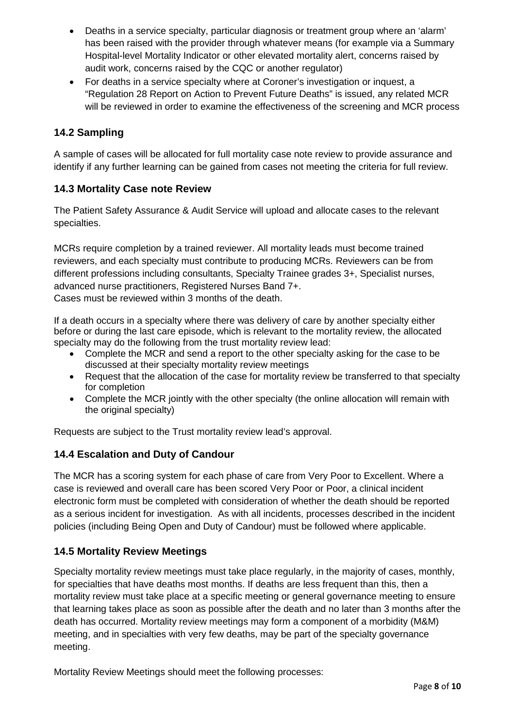- Deaths in a service specialty, particular diagnosis or treatment group where an 'alarm' has been raised with the provider through whatever means (for example via a Summary Hospital-level Mortality Indicator or other elevated mortality alert, concerns raised by audit work, concerns raised by the CQC or another regulator)
- For deaths in a service specialty where at Coroner's investigation or inquest, a "Regulation 28 Report on Action to Prevent Future Deaths" is issued, any related MCR will be reviewed in order to examine the effectiveness of the screening and MCR process

# **14.2 Sampling**

A sample of cases will be allocated for full mortality case note review to provide assurance and identify if any further learning can be gained from cases not meeting the criteria for full review.

# **14.3 Mortality Case note Review**

The Patient Safety Assurance & Audit Service will upload and allocate cases to the relevant specialties.

MCRs require completion by a trained reviewer. All mortality leads must become trained reviewers, and each specialty must contribute to producing MCRs. Reviewers can be from different professions including consultants, Specialty Trainee grades 3+, Specialist nurses, advanced nurse practitioners, Registered Nurses Band 7+.

Cases must be reviewed within 3 months of the death.

If a death occurs in a specialty where there was delivery of care by another specialty either before or during the last care episode, which is relevant to the mortality review, the allocated specialty may do the following from the trust mortality review lead:

- Complete the MCR and send a report to the other specialty asking for the case to be discussed at their specialty mortality review meetings
- Request that the allocation of the case for mortality review be transferred to that specialty for completion
- Complete the MCR jointly with the other specialty (the online allocation will remain with the original specialty)

Requests are subject to the Trust mortality review lead's approval.

# **14.4 Escalation and Duty of Candour**

The MCR has a scoring system for each phase of care from Very Poor to Excellent. Where a case is reviewed and overall care has been scored Very Poor or Poor, a clinical incident electronic form must be completed with consideration of whether the death should be reported as a serious incident for investigation. As with all incidents, processes described in the incident policies (including Being Open and Duty of Candour) must be followed where applicable.

## **14.5 Mortality Review Meetings**

Specialty mortality review meetings must take place regularly, in the majority of cases, monthly, for specialties that have deaths most months. If deaths are less frequent than this, then a mortality review must take place at a specific meeting or general governance meeting to ensure that learning takes place as soon as possible after the death and no later than 3 months after the death has occurred. Mortality review meetings may form a component of a morbidity (M&M) meeting, and in specialties with very few deaths, may be part of the specialty governance meeting.

Mortality Review Meetings should meet the following processes: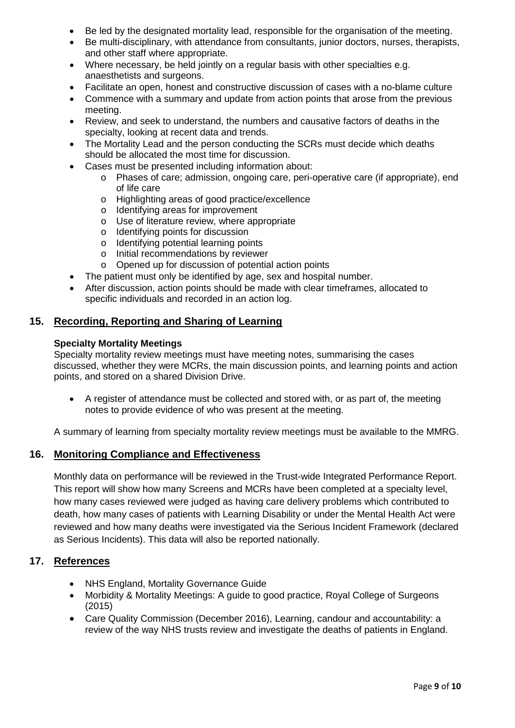- Be led by the designated mortality lead, responsible for the organisation of the meeting.
- Be multi-disciplinary, with attendance from consultants, junior doctors, nurses, therapists, and other staff where appropriate.
- Where necessary, be held jointly on a regular basis with other specialties e.g. anaesthetists and surgeons.
- Facilitate an open, honest and constructive discussion of cases with a no-blame culture
- Commence with a summary and update from action points that arose from the previous meeting.
- Review, and seek to understand, the numbers and causative factors of deaths in the specialty, looking at recent data and trends.
- The Mortality Lead and the person conducting the SCRs must decide which deaths should be allocated the most time for discussion.
- Cases must be presented including information about:
	- o Phases of care; admission, ongoing care, peri-operative care (if appropriate), end of life care
	- o Highlighting areas of good practice/excellence
	- o Identifying areas for improvement
	- o Use of literature review, where appropriate
	- o Identifying points for discussion
	- o Identifying potential learning points
	- o Initial recommendations by reviewer
	- o Opened up for discussion of potential action points
- The patient must only be identified by age, sex and hospital number.
- After discussion, action points should be made with clear timeframes, allocated to specific individuals and recorded in an action log.

## **15. Recording, Reporting and Sharing of Learning**

#### **Specialty Mortality Meetings**

Specialty mortality review meetings must have meeting notes, summarising the cases discussed, whether they were MCRs, the main discussion points, and learning points and action points, and stored on a shared Division Drive.

• A register of attendance must be collected and stored with, or as part of, the meeting notes to provide evidence of who was present at the meeting.

A summary of learning from specialty mortality review meetings must be available to the MMRG.

## **16. Monitoring Compliance and Effectiveness**

Monthly data on performance will be reviewed in the Trust-wide Integrated Performance Report. This report will show how many Screens and MCRs have been completed at a specialty level, how many cases reviewed were judged as having care delivery problems which contributed to death, how many cases of patients with Learning Disability or under the Mental Health Act were reviewed and how many deaths were investigated via the Serious Incident Framework (declared as Serious Incidents). This data will also be reported nationally.

## **17. References**

- NHS England, Mortality Governance Guide
- Morbidity & Mortality Meetings: A guide to good practice, Royal College of Surgeons (2015)
- Care Quality Commission (December 2016), Learning, candour and accountability: a review of the way NHS trusts review and investigate the deaths of patients in England.